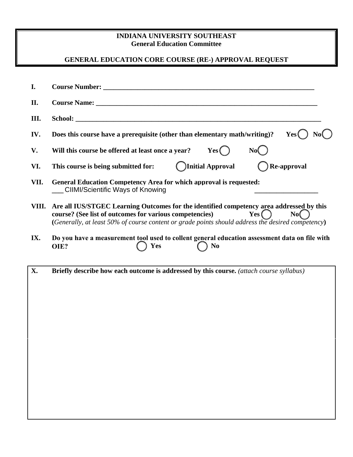## **INDIANA UNIVERSITY SOUTHEAST General Education Committee**

## **GENERAL EDUCATION CORE COURSE (RE-) APPROVAL REQUEST**

| I.    |                                                                                                                                                                                                                                                                                    |  |  |
|-------|------------------------------------------------------------------------------------------------------------------------------------------------------------------------------------------------------------------------------------------------------------------------------------|--|--|
| II.   |                                                                                                                                                                                                                                                                                    |  |  |
| Ш.    |                                                                                                                                                                                                                                                                                    |  |  |
| IV.   | Does this course have a prerequisite (other than elementary math/writing)?<br>Yes(                                                                                                                                                                                                 |  |  |
| V.    | Will this course be offered at least once a year? $Yes$ $\bigcap$<br>No(                                                                                                                                                                                                           |  |  |
| VI.   | <b>Channel Approval</b><br>Re-approval<br>This course is being submitted for:                                                                                                                                                                                                      |  |  |
| VII.  | <b>General Education Competency Area for which approval is requested:</b><br><b>CIIMI/Scientific Ways of Knowing</b>                                                                                                                                                               |  |  |
| VIII. | Are all IUS/STGEC Learning Outcomes for the identified competency area addressed by this<br>$Yes$ $\bigcap$<br>course? (See list of outcomes for various competencies)<br>No(<br>(Generally, at least 50% of course content or grade points should address the desired competency) |  |  |
| IX.   | Do you have a measurement tool used to collent general education assessment data on file with<br>Yes<br>N <sub>0</sub><br>OIE?                                                                                                                                                     |  |  |
| X.    | Briefly describe how each outcome is addressed by this course. (attach course syllabus)                                                                                                                                                                                            |  |  |
|       |                                                                                                                                                                                                                                                                                    |  |  |
|       |                                                                                                                                                                                                                                                                                    |  |  |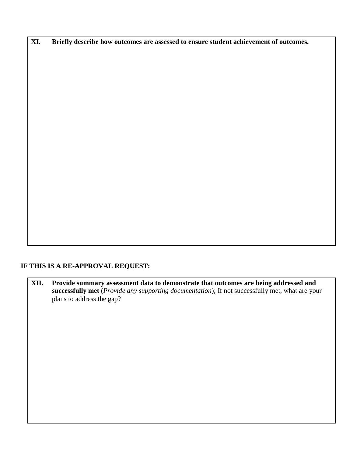**XI. Briefly describe how outcomes are assessed to ensure student achievement of outcomes.**

## **IF THIS IS A RE-APPROVAL REQUEST:**

**XII. Provide summary assessment data to demonstrate that outcomes are being addressed and successfully met** (*Provide any supporting documentation*); If not successfully met, what are your plans to address the gap?